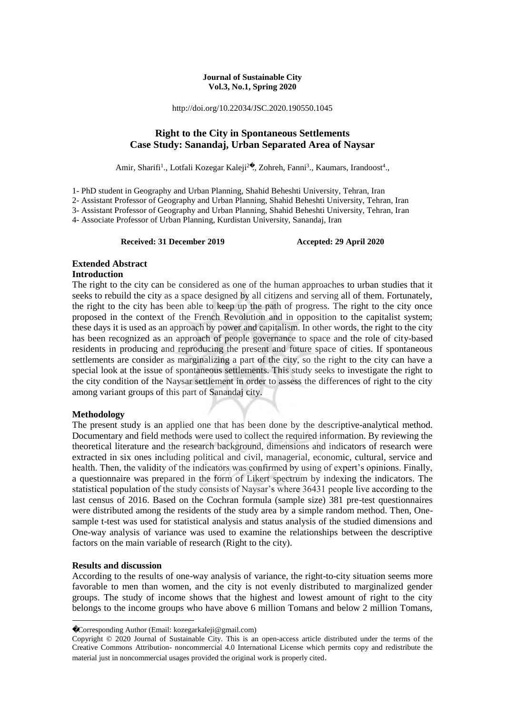#### **Journal of Sustainable City Vol.3, No.1, Spring 2020**

http://doi.org/10.22034/JSC.2020.190550.1045

## **Right to the City in Spontaneous Settlements Case Study: Sanandaj, Urban Separated Area of Naysar**

Amir, Sharifi<sup>1</sup>., Lotfali Kozegar Kaleji<sup>2</sup>., Zohreh, Fanni<sup>3</sup>., Kaumars, Irandoost<sup>4</sup>.,

1- PhD student in Geography and Urban Planning, Shahid Beheshti University, Tehran, Iran

2- Assistant Professor of Geography and Urban Planning, Shahid Beheshti University, Tehran, Iran

3- Assistant Professor of Geography and Urban Planning, Shahid Beheshti University, Tehran, Iran

4- Associate Professor of Urban Planning, Kurdistan University, Sanandaj, Iran

**Received: 31 December 2019 Accepted: 29 April 2020**

## **Extended Abstract**

## **Introduction**

The right to the city can be considered as one of the human approaches to urban studies that it seeks to rebuild the city as a space designed by all citizens and serving all of them. Fortunately, the right to the city has been able to keep up the path of progress. The right to the city once proposed in the context of the French Revolution and in opposition to the capitalist system; these days it is used as an approach by power and capitalism. In other words, the right to the city has been recognized as an approach of people governance to space and the role of city-based residents in producing and reproducing the present and future space of cities. If spontaneous settlements are consider as marginalizing a part of the city, so the right to the city can have a special look at the issue of spontaneous settlements. This study seeks to investigate the right to the city condition of the Naysar settlement in order to assess the differences of right to the city among variant groups of this part of Sanandaj city.

## **Methodology**

The present study is an applied one that has been done by the descriptive-analytical method. Documentary and field methods were used to collect the required information. By reviewing the theoretical literature and the research background, dimensions and indicators of research were extracted in six ones including political and civil, managerial, economic, cultural, service and health. Then, the validity of the indicators was confirmed by using of expert's opinions. Finally, a questionnaire was prepared in the form of Likert spectrum by indexing the indicators. The statistical population of the study consists of Naysar's where 36431 people live according to the last census of 2016. Based on the Cochran formula (sample size) 381 pre-test questionnaires were distributed among the residents of the study area by a simple random method. Then, Onesample t-test was used for statistical analysis and status analysis of the studied dimensions and One-way analysis of variance was used to examine the relationships between the descriptive factors on the main variable of research (Right to the city).

## **Results and discussion**

**.** 

According to the results of one-way analysis of variance, the right-to-city situation seems more favorable to men than women, and the city is not evenly distributed to marginalized gender groups. The study of income shows that the highest and lowest amount of right to the city belongs to the income groups who have above 6 million Tomans and below 2 million Tomans,

Corresponding Author (Email: kozegarkaleji@gmail.com)

Copyright © 2020 Journal of Sustainable City. This is an open-access article distributed under the terms of the Creative Commons Attribution- noncommercial 4.0 International License which permits copy and redistribute the material just in noncommercial usages provided the original work is properly cited.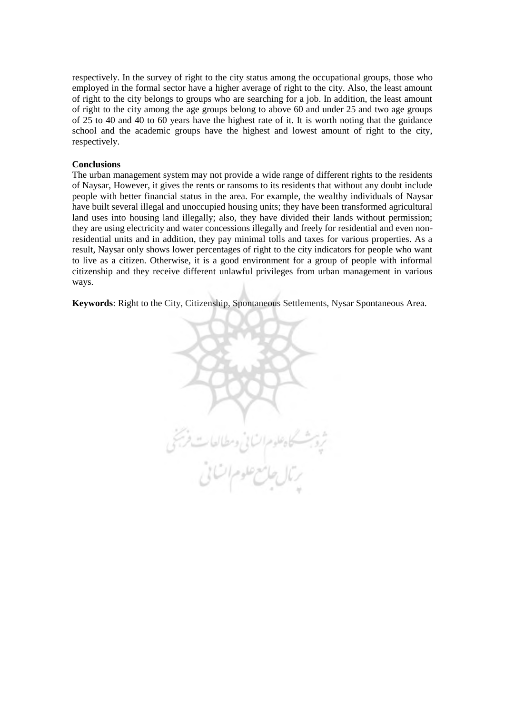respectively. In the survey of right to the city status among the occupational groups, those who employed in the formal sector have a higher average of right to the city. Also, the least amount of right to the city belongs to groups who are searching for a job. In addition, the least amount of right to the city among the age groups belong to above 60 and under 25 and two age groups of 25 to 40 and 40 to 60 years have the highest rate of it. It is worth noting that the guidance school and the academic groups have the highest and lowest amount of right to the city, respectively.

#### **Conclusions**

The urban management system may not provide a wide range of different rights to the residents of Naysar, However, it gives the rents or ransoms to its residents that without any doubt include people with better financial status in the area. For example, the wealthy individuals of Naysar have built several illegal and unoccupied housing units; they have been transformed agricultural land uses into housing land illegally; also, they have divided their lands without permission; they are using electricity and water concessions illegally and freely for residential and even nonresidential units and in addition, they pay minimal tolls and taxes for various properties. As a result, Naysar only shows lower percentages of right to the city indicators for people who want to live as a citizen. Otherwise, it is a good environment for a group of people with informal citizenship and they receive different unlawful privileges from urban management in various ways.

**Keywords**: Right to the City, Citizenship, Spontaneous Settlements, Nysar Spontaneous Area.

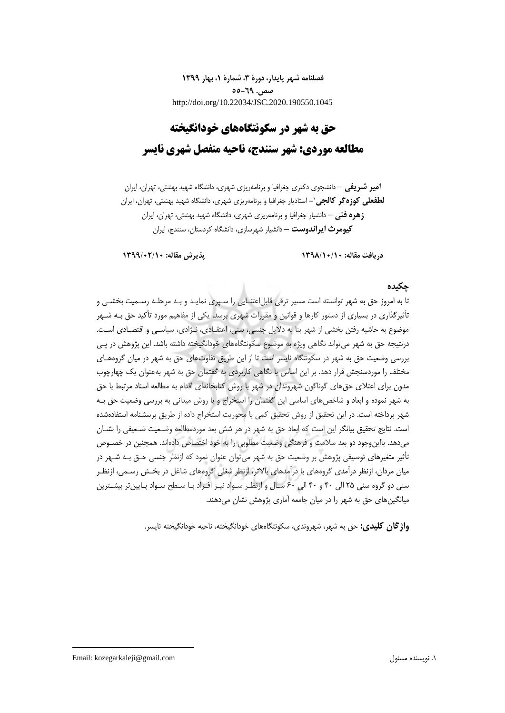**فصلنامه شهر پایدار، دورۀ ،3 شمارۀ ،1 بهار 1399 صص. 55-69** http://doi.org/10.22034/JSC.2020.190550.1045

# **حق به شهر در سکونتگاههای خودانگیخته مطالعه موردی: شهر سنندج، ناحیه منفصل شهری نایسر**

**امیر شریفی –** دانشجوی دکتری جغرافیا و برنامهریزی شهری، دانشگاه شهید بهشتی، تهران، ایران **-** استادیار جغرافیا و برنامهریزی شهری، دانشگاه شهید بهشتی، تهران، ایران <sup>1</sup> **لطفعلی کوزهگر کالجی زهره فنی –** دانشیار جغرافیا و برنامهریزی شهری، دانشگاه شهید بهشتی، تهران، ایران **کیومرث ایراندوست –** دانشیار شهرسازی، دانشگاه کردستان، سنندج، ایران

**دریافت مقاله: 1398/10/10 پذیرش مقاله: 1399/02/10**

## **چکیده**

تا به امروز حق به شهر توانسته است مسیر ترقی قابل|عتنـایی را سـپری نمایـد و بـه مرحلـه رسـمیت بخشـی و تأثیرگذاری در بسیاری از دستور کارها و قوانین و مقررات شهری برسد. یکی از مفاهیم مورد تأکید حق بـه شـهر موضوع به حاشیه رفتن بخشی از شهر بنا به دالیل جنسی، سنی، اعتقـادی، نـژادی، سیاسـی و اقتصـادی اسـت. درنتیجه حق به شهر میتواند نگاهی ویژه به موضوع سکونتگاههای خودانگیخته داشته باشد. این پژوهش در پـی بررسی وضعیت حق به شهر در سکونتگاه نایسر است تا از این طریق تفاوتهای حق به شهر در میان گروههـای مختلف را موردسنجش قرار دهد. بر این اساس با نگاهی کاربردی به گفتمان حق به شهر بهعنوان یک چهارچوب مدون برای اعتلای حق های گوناگون شهروندان در شهر با روش کتابخانهای اقدام به مطالعه اسناد مرتبط با حق به شهر نموده و ابعاد و شاخصهای اساسی این گفتمان را استخراج و با روش میدانی به بررسی وضعیت حق بـه شهر پرداخته است. در این تحقیق از روش تحقیق کمی با محوریت استخراج داده از طریق پرسشنامه استفادهشده است. نتایج تحقیق بیانگر این است که ابعاد حق به شهر در هر شش بعد موردمطالعه وضـعیت ضـعیفی را نشـان میدهد. بااین وجود دو بعد سلامت و فرهنگی وضعیت مطلوبی را به خود اختصاص دادهاند. همچنین در خصـوص تأثیر متغیرهای توصیفی پژوهش بر وضعیت حق به شهر میتوان عنوان نمود که ازنظر جنسی حـق بـه شـهر در میان مردان، ازنظر درآمدی گروههای با درآمدهای باالتر، ازنظر شغلی گروههای شاغل در بخـش رسـمی، ازنظـر سنی دو گروه سنی 25 الی 40 و 40 الی 60 سـال و ازنظـر سـواد نیـز افـراد بـا سـطح سـواد پـایینتر بیشـترین میانگینهای حق به شهر را در میان جامعه آماری پژوهش نشان میدهند.

**واژگان کلیدی:** حق به شهر، شهروندی، سکونتگاههای خودانگیخته، ناحیه خودانگیخته نایسر.

1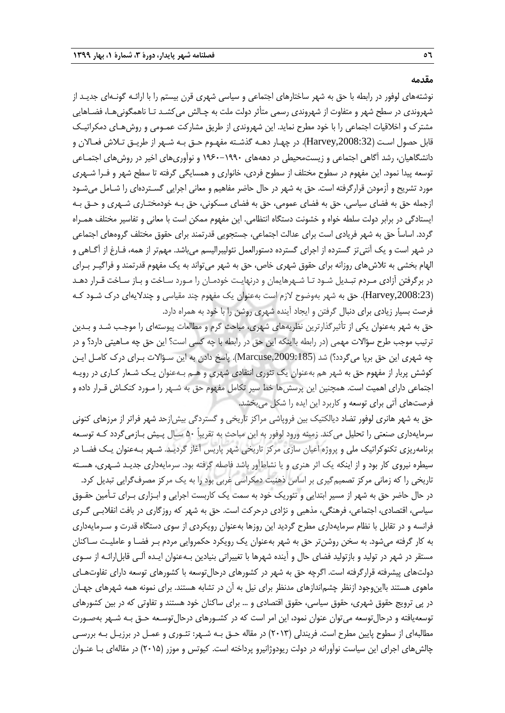**مقدمه**

نوشتههای لوفور در رابطه با حق به شهر ساختارهای اجتماعی و سیاسی شهری قرن بیستم را با ارائـه گونـهای جدیـد از شهروندی در سطح شهر و متفاوت از شهروندی رسمی متأثر دولت ملت به چـالش میکشـد تـا ناهمگونیهـا، فضـاهایی مشترك و اخالقیات اجتماعی را با خود مطرح نماید. این شهروندی از طریق مشارکت عمـومی و روشهـای دمکراتیـک قابل حصول اسـت ),2008:32Harvey). در چهـار دهـه گذشـته مفهـوم حـق بـه شـهر از طریـق تـالش فعـاالن و دانشگاهیان، رشد آگاهی اجتماعی و زیستمحیطی در دهههای 1960-1990 و نوآوریهای اخیر در روشهای اجتمـاعی توسعه پیدا نمود. این مفهوم در سطوح مختلف از سطوح فردی، خانواری و همسایگی گرفته تا سطح شهر و فـرا شـهری مورد تشریح و آزمودن قرارگرفته است. حق به شهر در حال حاضر مفاهیم و معانی اجرایی گسـتردهای را شـامل میشـود ازجمله حق به فضای سیاسی، حق به فضای عمومی، حق به فضای مسکونی، حق بـه خودمختـاری شـهری و حـق بـه ایستادگی در برابر دولت سلطه خواه و خشونت دستگاه انتظامی. این مفهوم ممکن است با معانی و تفاسیر مختلف همـراه گردد. اساساً حق به شهر فریادی است برای عدالت اجتماعی، جستجویی قدرتمند برای حقوق مختلف گروههای اجتماعی در شهر است و یک آنتیتز گسترده از اجرای گسترده دستورالعمل نئولیبرالیسم میباشد. مهمتر از همه، فـارغ از آگـاهی و الهام بخشی به تالشهای روزانه برای حقوق شهری خاص، حق به شهر میتواند به یک مفهوم قدرتمند و فراگیـر بـرای در برگرفتن آزادی مـردم تبـدیل شـود تـا شـهرهایمان و درنهایـت خودمـان را مـورد سـاخت و بـاز سـاخت قـرار دهـد ),2008:23Harvey). حق به شهر بهوضوح الزم است بهعنوان یک مفهوم چند مقیاسی و چندالیهای درك شـود کـه فرصت بسیار زیادی برای دنبال گرفتن و ایجاد آینده شهری روشن را با خود به همراه دارد.

حق به شهر بهعنوان یکی از تأثیرگذارترین نظریههای شهری، مباحث گرم و مطالعات پیوستهای را موجـب شـد و بـدین ترتیب موجب طرح سؤاالت مهمی )در رابطه بااینکه این حق در رابطه با چه کسی است؟ این حق چه مـاهیتی دارد؟ و در چه شهری این حق برپا میگردد؟) شد (Marcuse,2009:185). پاسخ دادن به این سـؤالات بـرای درک کامـل ایـن کوشش پربار از مفهوم حق به شهر هم بهعنوان یک تئوری انتقادی شهری و هـم بـهعنوان یـک شـعار کـاری در رویـه اجتماعی دارای اهمیت است. همچنین این پرسشها خط سیر تکامل مفهوم حق به شـهر را مـورد کنکـاش قـرار داده و فرصتهای آتی برای توسعه و کاربرد این ایده را شکل میبخشد.

حق به شهر هانری لوفور تضاد دیالکتیک بین فروپاشی مراکز تاریخی و گستردگی بیشازحد شهر فراتر از مرزهای کنونی سرمایهداری صنعتی را تحلیل می کند. زمینه ورود لوفور به این مباحث به تقریباً ۵۰ سـال پـیش بـازمیگردد کـه توسـعه برنامهریزی تکنوکراتیک ملی و پروژه اعیان سازی مرکز تاریخی شهر پاریس آغاز گردیـد. شـهر بـهعنوان یـک فضـا در سیطره نیروی کار بود و از اینکه یک اثر هنری و یا نشاطآور باشد فاصله گرفته بود. سرمایهداری جدیـد شـهری، هسـته تاریخی را که زمانی مرکز تصمیمگیری بر اساس ذهنیت دمکراسی غربی بود را به یک مرکز مصرفگرایی تبدیل کرد. در حال حاضر حق به شهر از مسیر ابتدایی و تئوریک خود به سمت یک کاربست اجرایی و ابـزاری بـرای تـأمین حقـوق سیاسی، اقتصادی، اجتماعی، فرهنگی، مذهبی و نژادی درحرکت است. حق به شهر که روزگاری در بافت انقالبـی گـری فرانسه و در تقابل با نظام سرمایهداری مطرح گردید این روزها بهعنوان رویکردی از سوی دستگاه قدرت و سـرمایهداری به کار گرفته میشود. به سخن روشنتر حق به شهر بهعنوان یک رویکرد حکمروایی مردم بـر فضـا و عاملیـت سـاکنان مستقر در شهر در تولید و بازتولید فضای حال و آینده شهرها با تغییراتی بنیادین بـهعنوان ایـده آلـی قابلارائـه از سـوی دولتهای پیشرفته قرارگرفته است. اگرچه حق به شهر در کشورهای درحالتوسعه با کشورهای توسعه دارای تفاوتهـای ماهوی هستند بااینوجود ازنظر چشماندازهای مدنظر برای نیل به آن در تشابه هستند. برای نمونه همه شهرهای جهـان در پی ترویج حقوق شهری، حقوق سیاسی، حقوق اقتصادی و ... برای ساکنان خود هستند و تفاوتی که در بین کشورهای توسعهیافته و درحالتوسعه میتوان عنوان نمود، این امر است که در کشـورهای درحالتوسـعه حـق بـه شـهر بهصـورت مطالبهای از سطوح پایین مطرح است. فریندلی )2013( در مقاله حـق بـه شـهر: تئـوری و عمـل در برزیـل بـه بررسـی چالشهای اجرای این سیاست نوآورانه در دولت ریودوژانیرو پرداخته است. کیوتس و موزر )2015( در مقالهای بـا عنـوان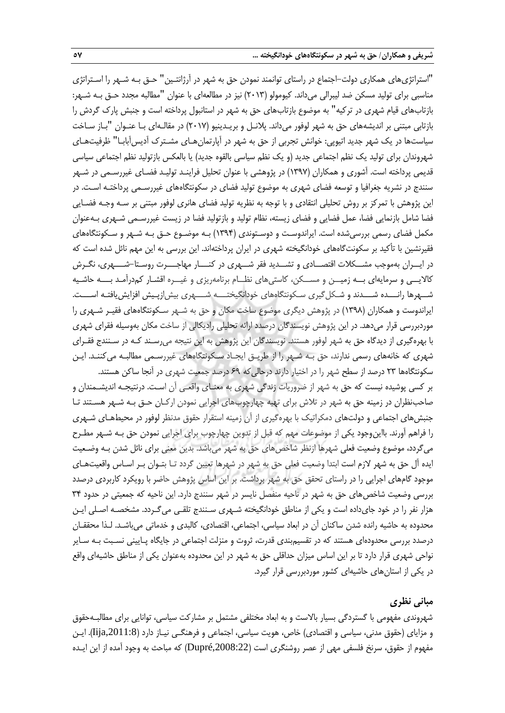"استراتژیهای همکاری دولت-اجتماع در راستای توانمند نمودن حق به شهر در آرژانتـین" حـق بـه شـهر را اسـتراتژی مناسبی برای تولید مسکن ضد لیبرالی میداند. کیومولو )2013( نیز در مطالعهای با عنوان "مطالبه مجدد حـق بـه شـهر: بازتابهای قیام شهری در ترکیه" به موضوع بازتابهای حق به شهر در استانبول پرداخته است و جنبش پارك گردش را بازتابی مبتنی بر اندیشههای حق به شهر لوفور میداند. پالنـل و بریـدینیو )2017( در مقالـهای بـا عنـوان "بـاز سـاخت سیاستها در یک شهر جدید اتیوپی: خوانش تجربی از حق به شهر در آپارتمانهـای مشـترك آدیسآبابـا" ظرفیتهـای شهروندان برای تولید یک نظم اجتماعی جدید (و یک نظم سیاسی بالقوه جدید) یا بالعکس بازتولید نظم اجتماعی سیاسی قدیمی پرداخته است. آشوری و همکاران )1397( در پژوهشی با عنوان تحلیل فراینـد تولیـد فضـای غیررسـمی در شـهر سنندج در نشریه جغرافیا و توسعه فضای شهری به موضوع تولید فضای در سکونتگاههای غیررسـمی پرداختـه اسـت. در این پژوهش با تمرکز بر روش تحلیلی انتقادی و با توجه به نظریه تولید فضای هانری لوفور مبتنی بر سـه وجـه فضـایی فضا شامل بازنمایی فضا، عمل فضایی و فضای زیسته، نظام تولید و بازتولید فضا در زیست غیررسـمی شـهری بـهعنوان مکمل فضای رسمی بررسیشده است. ایراندوسـت و دوسـتوندی )1394( بـه موضـوع حـق بـه شـهر و سـکونتگاههای فقیرنشین با تأکید بر سکونتگاههای خودانگیخته شهری در ایران پرداختهاند. این بررسی به این مهم نائل شده است که در ایــران بهموجب مشــکالت اقتصــادی و تشــدید فقر شــهری در کنـــار مهاجـــرت روسـتا-شـــهری، نگـرش کالایــی و سرمایهای بــه زمیــن و مســکن، کاستیهای نظــام برنامهریزی و غیــره اقشـار کمدرآمـد بـــه حاشـیه شــهرها رانـــده شـــدند و شـکلگیری سـکونتگاههای خودانگیختـــه شـــهری بیشازپـیش افزایشیافتـه اســـت. ایراندوست و همکاران )1398( در پژوهش دیگری موضوع ساخت مکان و حق به شـهر سـکونتگاههای فقیـر شـهری را موردبررسی قرار میدهد. در این پژوهش نویسندگان درصدد ارائه تحلیلی رادیکالی از ساخت مکان بهوسیله فقرای شهری با بهرهگیری از دیدگاه حق به شهر لوفور هستند. نویسندگان این پژوهش به این نتیجه میرسـند کـه در سـنندج فقـرای شهری که خانههای رسمی ندارند، حق بـه شـهر را از طریـق ایجـاد سـکونتگاههای غیررسـمی مطالبـه میکننـد. ایـن سکونتگاهها 23 درصد از سطح شهر را در اختیار دارند درحالیکه 69 درصد جمعیت شهری در آنجا ساکن هستند. بر کسی پوشیده نیست که حق به شهر از ضروریات زندگی شهری به معنـای واقعـی آن اسـت. درنتیجـه اندیشـمندان و صاحبنظران در زمینه حق به شهر در تالش برای تهیه چهارچوبهای اجرایی نمودن ارکـان حـق بـه شـهر هسـتند تـا جنبش های اجتماعی و دولتهای دمکراتیک با بهرهگیری از آن زمینه استقرار حقوق مدنظر لوفور در محیطهـای شـهری را فراهم آورند. بااینوجود یکی از موضوعات مهم که قبل از تدوین چهارچوب برای اجرایی نمودن حق بـه شـهر مطـرح میگردد، موضوع وضعیت فعلی شهرها ازنظر شاخصهای حق به شهر میباشد. بدین معنی برای نائل شدن بـه وضـعیت ایده آل حق به شهر الزم است ابتدا وضعیت فعلی حق به شهر در شهرها تعیین گردد تـا بتـوان بـر اسـاس واقعیتهـای موجود گامهای اجرایی را در راستای تحقق حق به شهر برداشت. بر این اساس پژوهش حاضر با رویکرد کاربردی درصدد بررسی وضعیت شاخصهای حق به شهر در ناحیه منفصل نایسر در شهر سنندج دارد. این ناحیه که جمعیتی در حدود 34 هزار نفر را در خود جایداده است و یکی از مناطق خودانگیخته شـهری سـنندج تلقـی میگـردد. مشخصـه اصـلی ایـن محدوده به حاشیه رانده شدن ساکنان آن در ابعاد سیاسی، اجتماعی، اقتصادی، کالبدی و خدماتی میباشـد. لـذا محققـان درصدد بررسی محدودهای هستند که در تقسیمبندی قدرت، ثروت و منزلت اجتماعی در جایگاه پـایینی نسـبت بـه سـایر

**مبانی نظری**

در یکی از استانهای حاشیهای کشور موردبررسی قرار گیرد.

شهروندی مفهومی با گستردگی بسیار باالست و به ابعاد مختلفی مشتمل بر مشارکت سیاسی، توانایی برای مطالبـهحقوق و مزایای (حقوق مدنی، سیاسی و اقتصادی) خاص، هویت سیاسی، اجتماعی و فرهنگـی نیـاز دارد (11:8<sub>ija,2</sub>011:8). ایـن مفهوم از حقوق، سرنخ فلسفی مهی از عصر روشنگری است (Dupré,2008:22) که مباحث به وجود آمده از این ایـده

نواحی شهری قرار دارد تا بر این اساس میزان حداقلی حق به شهر در این محدوده بهعنوان یکی از مناطق حاشیهای واقع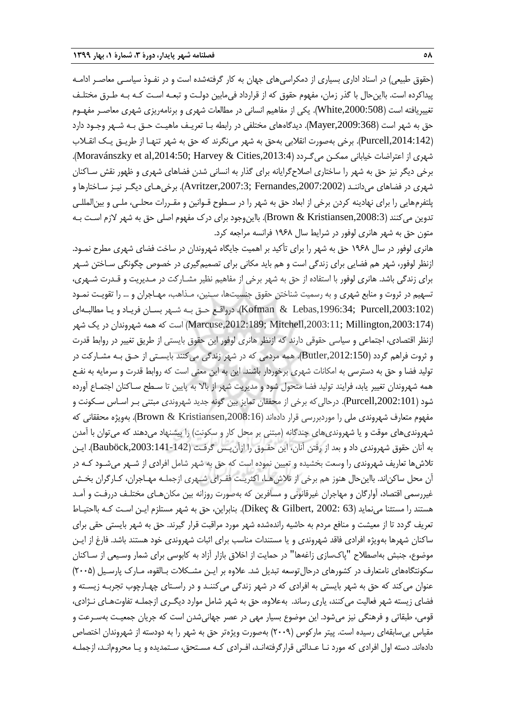(حقوق طبیعی) در اسناد اداری بسیاری از دمکراسی های جهان به کار گرفتهشده است و در نفـوذ سیاسـی معاصـر ادامـه پیداکرده است. بااینحال با گذر زمان، مفهوم حقوق که از قرارداد فیمابین دولـت و تبعـه اسـت کـه بـه طـرق مختلـف تغییریافته است ),2000:508White). یکی از مفاهیم انسانی در مطالعات شهری و برنامهریزی شهری معاصـر مفهـوم حق به شهر است ),2009:368Mayer). دیدگاههای مختلفی در رابطه بـا تعریـف ماهیـت حـق بـه شـهر وجـود دارد ),2014:142Purcell). برخی بهصورت انقالبی بهحق به شهر مینگرند که حق به شهر تنهـا از طریـق یـک انقـالب شهری از اعتراضات خیابانی ممکـن میگـردد (Moravánszky et al,2014:50; Harvey & Cities,2013:4). برخی دیگر نیز حق به شهر را ساختاری اصالحگرایانه برای گذار به انسانی شدن فضاهای شهری و ظهور نقش سـاکنان شهری در فضاهای میداننـد ),2007:2002Fernandes; ,2007:3Avritzer). برخیهـای دیگـر نیـز سـاختارها و پلتفرمهایی را برای نهادینه کردن برخی از ابعاد حق به شهر را در سـطوح قـوانین و مقـررات محلـی، ملـی و بینالمللـی تدوین می کنند (Brown & Kristiansen,2008:3). بااین وجود برای درک مفهوم اصلی حق به شهر لازم است بـه متون حق به شهر هانری لوفور در شرایط سال ۱۹۶۸ فرانسه مراجعه کرد.

هانری لوفور در سال 1968 حق به شهر را برای تأکید بر اهمیت جایگاه شهروندان در ساخت فضای شهری مطرح نمـود. ازنظر لوفور، شهر هم فضایی برای زندگی است و هم باید مکانی برای تصمیمگیری در خصوص چگونگی سـاختن شـهر برای زندگی باشد. هانری لوفور با استفاده از حق به شهر برخی از مفاهیم نظیر مشـارکت در مـدیریت و قـدرت شـهری، تسهیم در ثروت و منابع شهری و به رسمیت شناختن حقوق جنسیتها، سـنین، مـذاهب، مهـاجران و ... را تقویـت نمـود ),2003:102Purcell; ,1996:34Lebas & Kofman). درواقـع حـق بـه شـهر بسـان فریـاد و یـا مطالبـهای ),2003:174Millington; ,2003:11Mitchell; ,2012:189Marcuse )است که همه شهروندان در یک شهر ازنظر اقتصادی، اجتماعی و سیاسی حقوقی دارند که ازنظر هانری لوفور این حقوق بایستی از طریق تغییر در رواب قدرت و ثروت فراهم گردد ),2012:150Butler). همه مردمی که در شهر زندگی میکنند بایسـتی از حـق بـه مشـارکت در تولید فضا و حق به دسترسی به امکانات شهری برخوردار باشند. این به این معنی است که روابط قدرت و سرمایه به نفـع همه شهروندان تغییر یابد، فرایند تولید فضا متحول شود و مدیریت شهر از باال به پایین تا سـطح سـاکنان اجتمـاع آورده شود ),2002:101Purcell). درحالیکه برخی از محققان تمایز بین گونه جدید شهروندی مبتنی بـر اسـاس سـکونت و مفهوم متعارف شهروندی ملی را موردبررسی قرار دادهاند (Brown & Kristiansen,2008:16). بهویژه محققانی که شهروندیهای موقت و یا شهروندیهای چندگانه (مبتنی بر محل کار و سکونت) را پیشنهاد میدهند که میتوان با آمدن به آنان حقوق شهروندی داد و بعد از رفتن آنان، این حقـوق را ازآنپـس گرفـت ),2003:141-142Bauböck). ایـن تالشها تعاریف شهروندی را وسعت بخشیده و تعیین نموده است که حق به شهر شامل افرادی از شـهر میشـود کـه در آن محل ساکناند. بااینحال هنوز هم برخی از تالشهـا، اکثریـت فقـرای شـهری ازجملـه مهـاجران، کـارگران بخـش غیررسمی اقتصاد، آوارگان و مهاجران غیرقانونی و مسافرین که بهصورت روزانه بین مکانهـای مختلـف دررفـت و آمـد هستند را مستثنا مینماید )63 2002: ,Gilbert & Dikeç). بنابراین، حق به شهر مستلزم ایـن اسـت کـه بااحتیـاط تعریف گردد تا از معیشت و منافع مردم به حاشیه راندهشده شهر مورد مراقبت قرار گیرند. حق به شهر بایستی حقی برای ساکنان شهرها بهویژه افرادی فاقد شهروندی و یا مستندات مناسب برای اثبات شهروندی خود هستند باشد. فارغ از ایـن موضوع، جنبش بهاصطالح "پاكسازی زاغهها" در حمایت از اخالق بازار آزاد به کابوسی برای شمار وسـیعی از سـاکنان سکونتگاههای نامتعارف در کشورهای درحال توسعه تبدیل شد. علاوه بر ایـن مشـکلات بـالقوه، مـارک پارسـیل (۲۰۰۵) عنوان میکند که حق به شهر بایستی به افرادی که در شهر زندگی میکننـد و در راسـتای چهـارچوب تجربـه زیسـته و فضای زیسته شهر فعالیت میکنند، یاری رساند. بهعالوه، حق به شهر شامل موارد دیگـری ازجملـه تفاوتهـای نـژادی، قومی، طبقاتی و فرهنگی نیز میشود. این موضوع بسیار مهی در عصر جهانیشدن است که جریان جمعیـت بهسـرعت و مقیاس بیسابقهای رسیده است. پیتر مارکوس )2009( بهصورت ویژهتر حق به شهر را به دودسته از شهروندان اختصاص دادهاند. دسته اول افرادی که مورد نـا عـدالتی قرارگرفتهانـد، افـرادی کـه مسـتحق، سـتمدیده و یـا محرومانـد، ازجملـه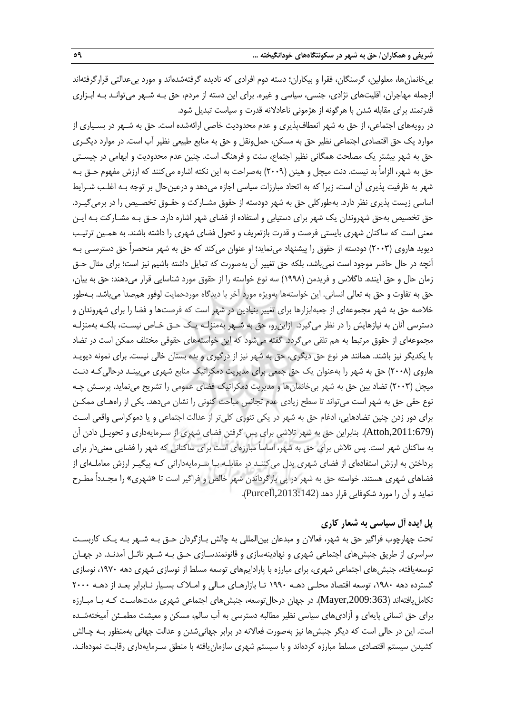بیخانمانها، معلولین، گرسنگان، فقرا و بیکاران؛ دسته دوم افرادی که نادیده گرفتهشدهاند و مورد بیعدالتی قرارگرفتهاند ازجمله مهاجران، اقلیتهای نژادی، جنسی، سیاسی و غیره. برای این دسته از مردم، حق بـه شـهر میتوانـد بـه ابـزاری قدرتمند برای مقابله شدن با هرگونه از هژمونی ناعادالنه قدرت و سیاست تبدیل شود.

در رویههای اجتماعی، از حق به شهر انعطافپذیری و عدم محدودیت خاصی ارائهشده است. حق به شـهر در بسـیاری از موارد یک حق اقتصادی اجتماعی نظیر حق به مسکن، حملونقل و حق به منابع طبیعی نظیر آب است. در موارد دیگـری حق به شهر بیشتر یک مصلحت همگانی نظیر اجتماع، سنت و فرهنگ است. چنین عدم محدودیت و ابهامی در چیسـتی حق به شهر، الزاماً بد نیست. دنت میچل و هینن (۲۰۰۹) بهصراحت به این نکته اشاره میکنند که ارزش مفهوم حـق بـه شهر به ظرفیت پذیری آن است، زیرا که به اتحاد مبارزات سیاسی اجازه میدهد و درعینحال بر توجه بـه اغلـب شـرای اساسی زیست پذیری نظر دارد. بهطورکلی حق به شهر دودسته از حقوق مشـارکت و حقـوق تخصـیص را در برمیگیـرد. حق تخصیص بهحق شهروندان یک شهر برای دستیابی و استفاده از فضای شهر اشاره دارد. حـق بـه مشـارکت بـه ایـن معنی است که ساکنان شهری بایستی فرصت و قدرت بازتعریف و تحول فضای شهری را داشته باشند. به همـین ترتیـب دیوید هاروی (۲۰۰۳) دودسته از حقوق را پیشنهاد می،نماید؛ او عنوان می کند که حق به شهر منحصراً حق دسترسـی بـه آنچه در حال حاضر موجود است نمیباشد، بلکه حق تغییر آن بهصورت که تمایل داشته باشیم نیز است؛ برای مثال حـق زمان حال و حق آینده. داگالس و فریدمن )1998( سه نوع خواسته را از حقوق مورد شناسایی قرار میدهند: حق به بیان، حق به تفاوت و حق به تعالی انسانی. این خواستهها بهویژه مورد آخر با دیدگاه موردحمایت لوفور همصدا میباشد. بـهطور خالصه حق به شهر مجموعهای از جعبهابزارها برای تغییر بنیادین در شهر است که فرصتها و فضا را برای شهروندان و دسترسی آنان به نیازهایش را در نظر میگیرد. ازاینرو، حق به شـهر بهمنزلـه یـک حـق خـاص نیسـت، بلکـه بهمنزلـه مجموعهای از حقوق مرتبط به هم تلقی میگردد. گفته میشود که این خواستههای حقوقی مختلف ممکن است در تضاد با یکدیگر نیز باشند. همانند هر نوع حق دیگری، حق به شهر نیز از درگیری و بده بستان خالی نیست. برای نمونه دیویـد هاروی (۲۰۰۸) حق به شهر را بهعنوان یک حق جمعی برای مدیریت دمکراتیک منابع شهری میبینـد درحالیکـه دنـت میچل (۲۰۰۳) تضاد بین حق به شهر بیخانمانها و مدیریت دمکراتیک فضای عمومی را تشریح مینماید. پرسـش چـه نوع حقی حق به شهر است میتواند تا سطح زیادی عدم تجانس مباحث کنونی را نشان میدهد. یکی از راههـای ممکـن برای دور زدن چنین تضادهایی، ادغام حق به شهر در یکی تئوری کلیتر از عدالت اجتماعی و یا دموکراسی واقعی اسـت ),2011:679Attoh). بنابراین حق به شهر تالشی برای پس گرفتن فضای شهری از سـرمایهداری و تحویـل دادن آن به ساکنان شهر است. پس تالش برای حق به شهر، اساساً مبارزهای است برای ساکنانی که شهر را فضایی معنیدار برای پرداختن به ارزش استفادهای از فضای شهری بدل میکننـد در مقابلـه بـا سـرمایهدارانی کـه پیگیـر ارزش معاملـهای از فضاهای شهری هستند. خواسته حق به شهر در پی بازگرداندن شهر خالص و فراگیر است تا »شهری« را مجـدداً مطـرح نماید و آن را مورد شکوفایی قرار دهد ),2013:142Purcell).

# **پل ایده آل سیاسی به شعار کاری**

تحت چهارچوب فراگیر حق به شهر، فعاالن و مبدعان بینالمللی به چالش بـازگردان حـق بـه شـهر بـه یـک کاربسـت سراسری از طریق جنبشهای اجتماعی شهری و نهادینهسازی و قانونمندسـازی حـق بـه شـهر نائـل آمدنـد. در جهـان توسعهیافته، جنبشهای اجتماعی شهری، برای مبارزه با پارادایمهای توسعه مسل از نوسازی شهری دهه ،1970 نوسازی گسترده دهه ،1980 توسعه اقتصاد محلـی دهـه 1990 تـا بازارهـای مـالی و امـالك بسـیار نـابرابر بعـد از دهـه 2000 تکاملیافتهاند ),2009:363Mayer). در جهان درحالتوسعه، جنبشهای اجتماعی شهری مدتهاسـت کـه بـا مبـارزه برای حق انسانی پایهای و آزادیهای سیاسی نظیر مطالبه دسترسی به آب سالم، مسکن و معیشت مطمـئن آمیختهشـده است. این در حالی است که دیگر جنبشها نیز بهصورت فعاالنه در برابر جهانیشدن و عدالت جهانی بهمنظور بـه چـالش کشیدن سیستم اقتصادی مسلط مبارزه کردهاند و با سیستم شهری سازمان یافته با منطق سـرمایهداری رقابـت نمودهانـد.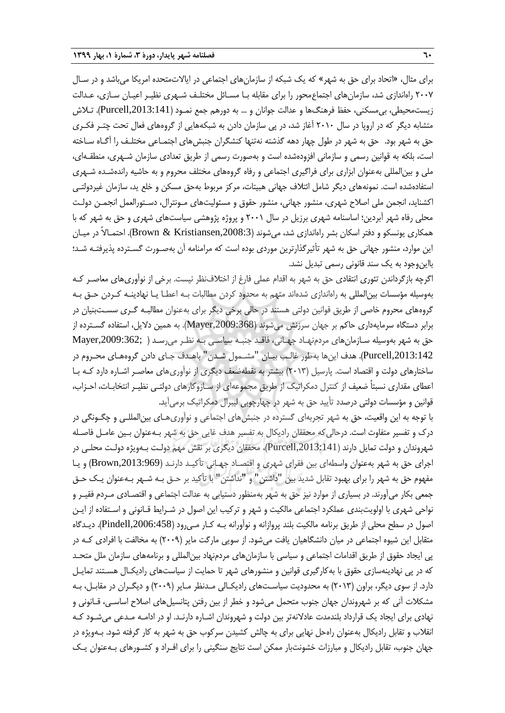برای مثال، »اتحاد برای حق به شهر« که یک شبکه از سازمانهای اجتماعی در ایاالتمتحده امریکا میباشد و در سـال 2007 راهاندازی شد، سازمانهای اجتماعمحور را برای مقابله بـا مسـائل مختلـف شـهری نظیـر اعیـان سـازی، عـدالت زیست،محیطی، بی،سکنی، حفظ فرهنگ۱ا و عدالت جوانان و … به دورهم جمع نمـود (Purcell,2013:141). تـلاش متشابه دیگر که در اروپا در سال 2010 آغاز شد، در پی سازمان دادن به شبکههایی از گروههای فعال تحت چتـر فکـری حق به شهر بود. حق به شهر در طول چهار دهه گذشته نهتنها کنشگران جنبشهای اجتمـاعی مختلـف را آگـاه سـاخته است، بلکه به قوانین رسمی و سازمانی افزودهشده است و بهصورت رسمی از طریق تعدادی سازمان شـهری، منطقـهای، ملی و بینالمللی بهعنوان ابزاری برای فراگیری اجتماعی و رفاه گروههای مختلف محروم و به حاشیه راندهشـده شـهری استفادهشده است. نمونههای دیگر شامل ائتالف جهانی هبیتات، مرکز مربوط بهحق مسکن و خلع ید، سازمان غیردولتـی اکشناید، انجمن ملی اصالح شهری، منشور جهانی، منشور حقوق و مسئولیتهای مـونترال، دسـتورالعمل انجمـن دولـت محلی رفاه شهر آبردین؛ اساسنامه شهری برزیل در سال 2001 و پروژه پژوهشی سیاستهای شهری و حق به شهر که با همکاری یونسکو و دفتر اسکان بشر راهاندازی شد، میشوند ),2008:3Kristiansen & Brown). احتمـاالً در میـان این موارد، منشور جهانی حق به شهر تأثیرگذارترین موردی بوده است که مرامنامه آن بهصـورت گسـترده پذیرفتـه شـد؛ بااینوجود به یک سند قانونی رسمی تبدیل نشد.

اگرچه بازگرداندن تئوری انتقادی حق به شهر به اقدام عملی فارغ از اختالفنظر نیست. برخی از نوآوریهای معاصـر کـه بهوسیله مؤسسات بینالمللی به راهاندازی شدهاند متهم به محدود کردن مطالبات بـه اعطـا یـا نهادینـه کـردن حـق بـه گروههای محروم خاصی از طریق قوانین دولتی هستند در حالی برخی دیگر برای بهعنوان مطالبـه گـری سسـتبنیان در برابر دستگاه سرمایهداری حاکم بر جهان سرزنش میشوند ),2009:368Mayer). به همین دالیل، استفاده گسـترده از حق به شهر بهوسیله سـازمانهای مردمنهـاد جهـانی، فاقـد جنبـه سیاسـی بـه نظـر میرسـد ) ;,2009:362Mayer ,2013:142Purcell). هدف اینها بهطور غالـب بیـان "مشـمول شـدن" باهـدف جـای دادن گروههـای محـروم در ساختارهای دولت و اقتصاد است. پارسیل )2013( بیشتر به نقطهضعف دیگری از نوآوریهای معاصـر اشـاره دارد کـه بـا اعطای مقداری نسبتاً ضعیف از کنترل دمکراتیک از طریق مجموعهای از سـازوکارهای دولتـی نظیـر انتخابـات، احـزاب، قوانین و مؤسسات دولتی درصدد تأیید حق به شهر در چهارچوبی لیبرال دمکراتیک برمیآید.

با توجه به این واقعیت، حق به شهر تجربهای گسترده در جنبشهای اجتماعی و نوآوریهـای بینالمللـی و چگـونگی در درك و تفسیر متفاوت است. درحالیکه محققان رادیکال به تفسیر هدف غایی حق به شهر بـهعنوان بـین عامـل فاصـله شهروندان و دولت تمایل دارند ),2013:141Purcell)، محققان دیگری بر نقش مهم دولـت بـهویژه دولـت محلـی در اجرای حق به شهر بهعنوان واسطهای بین فقرای شهری و اقتصـاد جهـانی تأکیـد دارنـد (Brown,2013:969) و یـا مفهوم حق به شهر را برای بهبود تقابل شدید بین "داشتن" و "نداشتن" با تأکید بر حـق بـه شـهر بـهعنوان یـک حـق جمعی بکار میآورند. در بسیاری از موارد نیز حق به شهر بهمنظور دستیابی به عدالت اجتماعی و اقتصـادی مـردم فقیـر و نواحی شهری با اولویتبندی عملکرد اجتماعی مالکیت و شهر و ترکیب این اصول در شـرایط قـانونی و اسـتفاده از ایـن اصول در سطح محلی از طریق برنامه مالکیت بلند پروازانه و نوآورانه بـه کـار مـیرود ),2006:458Pindell). دیـدگاه متقابل این شیوه اجتماعی در میان دانشگاهیان یافت میشود. از سویی مارگت مایر )2009( به مخالفت با افرادی کـه در پی ایجاد حقوق از طریق اقدامات اجتماعی و سیاسی با سازمانهای مردمنهاد بینالمللی و برنامههای سازمان ملل متحـد که در پی نهادینهسازی حقوق با بهکارگیری قوانین و منشورهای شهر تا حمایت از سیاستهای رادیکـال هسـتند تمایـل دارد. از سوی دیگر، براون )2013( به محدودیت سیاسـتهای رادیکـالی مـدنظر مـایر )2009( و دیگـران در مقابـل، بـه مشکالت آنی که بر شهروندان جهان جنوب متحمل میشود و خطر از بین رفتن پتانسیلهای اصالح اساسـی، قـانونی و نهادی برای ایجاد یک قرارداد بلندمدت عادالنهتر بین دولت و شهروندان اشـاره دارنـد. او در ادامـه مـدعی میشـود کـه انقالب و تقابل رادیکال بهعنوان راهحل نهایی برای به چالش کشیدن سرکوب حق به شهر به کار گرفته شود. بـهویژه در جهان جنوب، تقابل رادیکال و مبارزات خشونتبار ممکن است نتایج سنگینی را برای افـراد و کشـورهای بـهعنوان یـک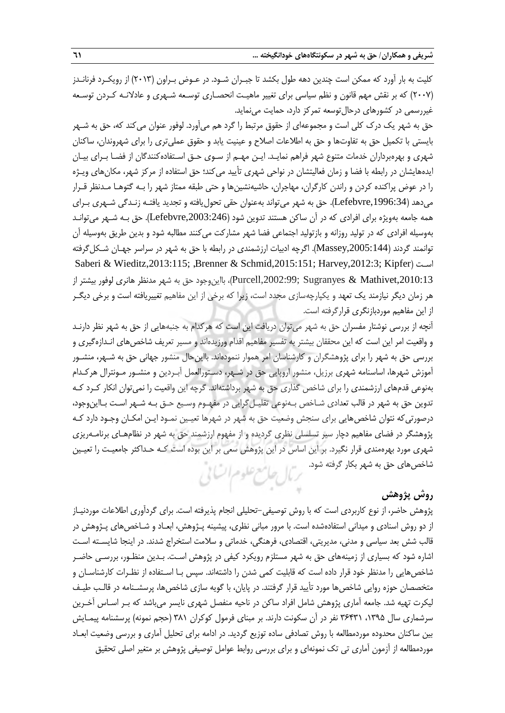کلیت به بار آورد که ممکن است چندین دهه طول بکشد تا جبـران شـود. در عـوض بـراون )2013( از رویکـرد فرنانـدز )2007( که بر نقش مهم قانون و نظم سیاسی برای تغییر ماهیـت انحصـاری توسـعه شـهری و عادالنـه کـردن توسـعه غیررسمی در کشورهای درحالتوسعه تمرکز دارد، حمایت مینماید.

حق به شهر یک درک کلی است و مجموعهای از حقوق مرتبط را گرد هم میآورد. لوفور عنوان می کند که، حق به شـهر بایستی با تکمیل حق به تفاوتها و حق به اطالعات اصالح و عینیت یابد و حقوق عملیتری را برای شهروندان، ساکنان شهری و بهرهبرداران خدمات متنوع شهر فراهم نمایـد. ایـن مهـم از سـوی حـق اسـتفادهکنندگان از فضـا بـرای بیـان ایدههایشان در رابطه با فضا و زمان فعالیتشان در نواحی شهری تأیید میکند؛ حق استفاده از مرکز شهر، مکانهای ویـژه را در عوض پراکنده کردن و راندن کارگران، مهاجران، حاشیهنشینها و حتی طبقه ممتاز شهر را بـه گتوهـا مـدنظر قـرار میدهد ),1996:34Lefebvre). حق به شهر میتواند بهعنوان حقی تحولیافته و تجدید یافتـه زنـدگی شـهری بـرای همه جامعه بهویژه برای افرادی که در آن ساکن هستند تدوین شود (Lefebvre,2003:246). حق بـه شـهر میتوانـد بهوسیله افرادی که در تولید روزانه و بازتولید اجتماعی فضا شهر مشارکت میکنند مطالبه شود و بدین طریق بهوسیله آن توانمند گردند (Massey,2005:144). اگرچه ادبیات ارزشمندی در رابطه با حق به شهر در سراسر جهـان شـکل&فته Saberi & Wieditz,2013:115; ,Brenner & Schmid,2015:151; Harvey,2012:3; Kipfer( اسـت Purcell,2002:99; Sugranyes & Mathivet,2010:13)، بااینوجود حق به شهر مدنظر هانری لوفور بیشتر از هر زمان دیگر نیازمند یک تعهد و یکپارچهسازی مجدد است، زیرا که برخی از این مفاهیم تغییریافته است و برخی دیگـر از این مفاهیم موردبازنگری قرارگرفته است.

آنچه از بررسی نوشتار مفسران حق به شهر می توان دریافت این است که هرکدام به جنبههایی از حق به شهر نظر دارنـد و واقعیت امر این است که این محققان بیشتر به تفسیر مفاهیم اقدام ورزیدهاند و مسیر تعریف شاخصهای انـدازهگیری و بررسی حق به شهر را برای پژوهشگران و کارشناسان امر هموار ننمودهاند. بااینحال منشور جهانی حق به شـهر، منشـور آموزش شهرها، اساسنامه شهری برزیل، منشور اروپایی حق در شـهر، دسـتورالعمل آبـردین و منشـور مـونترال هرکـدام بهنوعی قدمهای ارزشمندی را برای شاخص گذاری حق به شهر برداشتهاند. گرچه این واقعیت را نمیتوان انکار کـرد کـه تدوین حق به شهر در قالب تعدادی شـاخص بـهنوعی تقلیـلگرایی در مفهـوم وسـیع حـق بـه شـهر اسـت بـااینوجود، درصورتیکه نتوان شاخصهایی برای سنجش وضعیت حق به شهر در شهرها تعیـین نمـود ایـن امکـان وجـود دارد کـه پژوهشگر در فضای مفاهیم دچار سیر تسلسلی نظری گردیده و از مفهوم ارزشمند حق به شهر در نظامهـای برنامـهریزی شهری مورد بهرهمندی قرار نگیرد. بر این اساس در این پژوهش سعی بر این بوده است کـه حـداکثر جامعیـت را تعیـین شاخصهای حق به شهر بکار گرفته شود. بربال جامع علوم اتنابي

## **روش پژوهش**

پژوهش حاضر، از نوع کاربردی است که با روش توصیفی-تحلیلی انجام پذیرفته است. برای گردآوری اطالعات موردنیـاز از دو روش اسنادی و میدانی استفادهشده است. با مرور مبانی نظری، پیشینه پـژوهش، ابعـاد و شـاخصهای پـژوهش در قالب شش بعد سیاسی و مدنی، مدیریتی، اقتصادی، فرهنگی، خدماتی و سالمت استخراج شدند. در اینجا شایسـته اسـت اشاره شود که بسیاری از زمینههای حق به شهر مستلزم رویکرد کیفی در پژوهش اسـت. بـدین منظـور، بررسـی حاضـر شاخصهایی را مدنظر خود قرار داده است که قابلیت کمی شدن را داشتهاند. سپس بـا اسـتفاده از نظـرات کارشناسـان و متخصصان حوزه روایی شاخصها مورد تأیید قرار گرفتند. در پایان، با گویه سازی شاخصها، پرسشـنامه در قالـب طیـف لیکرت تهیه شد. جامعه آماری پژوهش شامل افراد ساکن در ناحیه منفصل شهری نایسر میباشد که بـر اسـاس آخـرین سرشماری سال ۱۳۹۵، ۳۶۴۳۱ نفر در آن سکونت دارند. بر مبنای فرمول کوکران ۳۸۱ (حجم نمونه) پرسشنامه پیمـایش بین ساکنان محدوده موردمطالعه با روش تصادفی ساده توزیع گردید. در ادامه برای تحلیل آماری و بررسی وضعیت ابعـاد موردمطالعه از آزمون آماری تی تک نمونهای و برای بررسی روابط عوامل توصیفی پژوهش بر متغیر اصلی تحقیق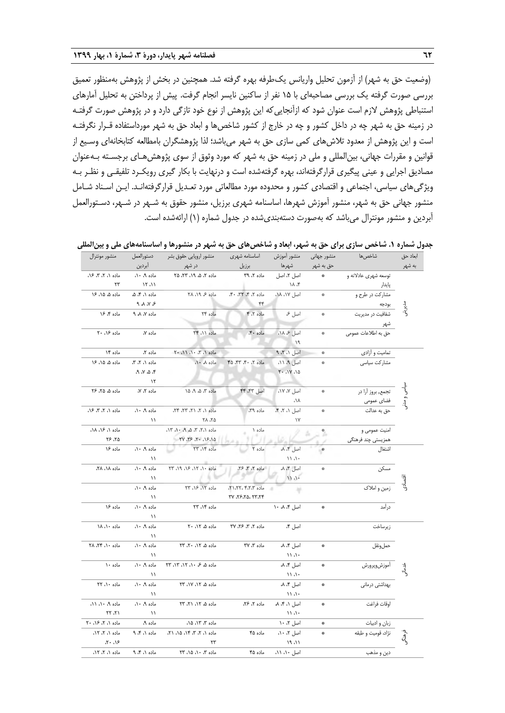)وضعیت حق به شهر( از آزمون تحلیل واریانس یکطرفه بهره گرفته شد. هم نین در بخش از پژوهش بهمنظور تعمیق بررسی صورت گرفته یک بررسی مصاحبهای با 15 نفر از ساکنین نایسر انجام گرفت. پیش از پرداختن به تحلیل آمارهای استنباطی پژوهش الزم است عنوان شود که ازآنجاییکه این پژوهش از نوع خود تازگی دارد و در پژوهش صورت گرفتـه در زمینه حق به شهر چه در داخل کشور و چه در خارج از کشور شاخصها و ابعاد حق به شهر مورداستفاده قـرار نگرفتـه است و این پژوهش از معدود تالشهای کمی سازی حق به شهر میباشد؛ لذا پژوهشگران بامطالعه کتابخانهای وسـیع از قوانین و مقررات جهانی، بینالمللی و ملی در زمینه حق به شهر که مورد وثوق از سوی پژوهشهـای برجسـته بـهعنوان مصادیق اجرایی و عینی پیگیری قرارگرفتهاند، بهره گرفتهشده است و درنهایت با بکار گیری رویکـرد تلفیقـی و نظـر بـه ویژگیهای سیاسی، اجتماعی و اقتصادی کشور و محدوده مورد مطالعاتی مورد تعـدیل قرارگرفتهانـد. ایـن اسـناد شـامل منشور جهانی حق به شهر، منشور آموزش شهرها، اساسنامه شهری برزیل، منشور حقوق به شـهر در شـهر، دسـتورالعمل آبردین و منشور مونترال میباشد که بهصورت دستهبندیشده در جدول شماره )1( ارائهشده است.

| جدول شماره ۱. شاخص سازی برای حق به شهر، ابعاد و شاخصهای حق به شهر در منشورها و اساسنامههای ملی و بین[لمللی |  |  |  |  |  |  |
|------------------------------------------------------------------------------------------------------------|--|--|--|--|--|--|
|------------------------------------------------------------------------------------------------------------|--|--|--|--|--|--|

|          |                           |                      |                     |                    | .                         |               |                   |
|----------|---------------------------|----------------------|---------------------|--------------------|---------------------------|---------------|-------------------|
| ابعاد حق | شاخصها                    | منشور جهاني          | منشور أموزش         | اساسنامه شهرى      | منشور اروپایی حقوق بشر    | دستورالعمل    | منشور مونترال     |
| به شهر   |                           | حق به شهر            | شهرها               | برزيل              | در شهر                    | أبردين        |                   |
|          | توسعه شهری عادلانه و      | ₩                    | اصل ٢، اصل          | ماده ٢، ٣٩         | ماده ٢، ۵، ١٩، ٢٢، ٢٥     | ماده ۹، ۱۰،   | ماده ۱، ۲، ۳، ۱۶، |
|          | پايدار                    |                      | ነለ ،۴               |                    |                           | 11.11         | ٢٣                |
|          | ۔<br>مشارکت در طرح و      | ₩                    | اصل ١٧، ١٨،         | ماده ۲، ۴، ۳۲، ۴۰، | ماده ۶ ۱۹، ۲۸             | ماده ۱، ۴، ۵، | ماده ۵، ۱۵، ۱۶    |
| مديريتى  | بودجه                     |                      |                     | ۴۴                 |                           | $9$ and $9$   |                   |
|          | ۔<br>شفافیت در مدیریت     | ₩                    | اصل ع               | ماده ٢،٢           | ماده ۲۴                   | ماده ۷، ۸، ۹  | ماده ۴، ۱۶        |
|          | تنهر                      |                      |                     |                    |                           |               |                   |
|          |                           | ₩                    | اصل ع ١٨،           | ماده ۴۰،           | ماده ١١، ٢۴               | ماده ۷،       | ماده ۱۶، ۲۰       |
|          |                           |                      | 19                  |                    |                           |               |                   |
|          | تمامیت و أزادي            | ₩                    | اصل ١، ٢، ٩         |                    | ماده ۱، ۳، ۱۰، ۱۱، ۲۰     | ماده ۲،       | ماده ۱۴           |
|          | مشاركت سياسى              |                      | اصل ۹، ۱۱،          | ماده ٢، ۴۰، ۴۳، ۴۵ | ماده ۸ ۱۰                 | ماده ۱، ۲، ۳، | ماده ۵، ۱۵، ۱۶    |
|          |                           |                      | 5.1Y.10             |                    |                           | ۴، ۵، ۷، ۹،   |                   |
|          |                           |                      |                     |                    |                           | ۱۲            |                   |
|          | تجمع, بروز أرا در         | 柴                    | اصل ۷، ۱۷،          | اصل ۴۳، ۴۴         | ماده ۳، ۵، ۹، ۱۵          | ماده ۲، ۷،    | ماده ۵، ۲۵، ۲۶    |
|          | فضای عمومی<br>حق به عدالت |                      | ،۱۸                 |                    |                           |               |                   |
|          |                           | ₩                    | اصل ١، ٢، ۴،        | ماده ٣٩،           | ماده ١، ٢، ٢١، ٢٣، ٢۴،    | ماده ۹، ۱۰،   | ماده ۱، ۲، ۳، ۱۶، |
|          |                           |                      | $\gamma$            |                    | ۲۸، ۲۸                    | $\lambda$     |                   |
|          | امنیت عمومی و             | $\ddot{\phantom{a}}$ |                     | ماده ۱             | ماده ۲، ۲، ۳، ۵، ۱۳، ۱۰   |               | ماده ۱، ۱۶، ۱۸،   |
|          | همزیستی چند فرهنگی        |                      |                     |                    | ١، ١۶، ٢٠، ٢٧، ٢٧         |               | ۲۶، ۲۶            |
|          | اشتغال                    | ₩                    | اصل ۴، ٨            | ماده ۲             | ماده ۱۴، ۲۳               | ماده ۹، ۱۰،   | ماده ۱۶           |
|          |                           |                      | $\alpha$ //         |                    |                           | $\setminus$   |                   |
|          | مسكن                      | ₩                    | اصل ٢، ٨            | ماده ۲، ۳، ۲۶،     | ماده ١٠، ١٢، ١۶، ١٩، ٢٣   | ماده ۹، ۱۰،   | ماده ۱۸، ۲۸،      |
|          |                           |                      | 11.1                |                    |                           | ۱۱            |                   |
| قتصادى   | زمین و املاک              |                      | ۷                   | ماده ۲،۲،۴،۲،۳،۳   | ماده ١٢، ١۶، ٢٣           | ماده ۹، ۱۰،   |                   |
|          |                           |                      |                     | ۳۲، ۲۶،۲۵، ۲۳،۲۴   |                           | $\mathcal{N}$ |                   |
|          | درأمد                     | ₩                    | اصل ۴، ۸ ۱۰         |                    | ماده ۱۴، ۲۳               | ماده ۹، ۱۰،   | ماده ۱۶           |
|          |                           |                      |                     |                    |                           | $\mathcal{N}$ |                   |
|          | زيرساخت                   |                      | اصل ۴،              | ماده ٢، ٣، ٢۶، ٣٧  | ماده ۵، ۱۲، ۲۰            | ماده ۹، ۱۰،   | ماده ۱۰، ۱۸       |
|          |                           |                      |                     |                    |                           | $\setminus$   |                   |
|          | حملونقل                   | ş.                   | اصل ۴، ۸            | ماده ٣، ٣٧         | ماده ۵، ۱۲، ۲۰، ۲۳        | ماده ۹، ۱۰،   | ماده ١٠، ٢۴، ٢٨   |
|          |                           |                      | $\cup \wedge \cdot$ |                    |                           | ۱۱            |                   |
|          | أموزشوپرورش               | ÷                    | اصل ۸.۴             |                    | ماده ۵، ۶ ۱۰، ۱۲، ۲۳، ۲۳  | ماده ۹، ۱۰،   | ماده ۱۰           |
| خدماته   |                           |                      | 11.1                |                    |                           | ۱۱            |                   |
|          | بهداشتي درماني            | $\frac{1}{2}$        | اصل ۴، ٨            |                    | ماده ۵، ١٢، ١٧، ٢٣        | ماده ۹، ۱۰،   | ماده ١٠، ٢٢       |
|          |                           |                      | 11.1                |                    |                           | ۱۱            |                   |
|          | اوقات فراغت               | ÷                    | اصل ۱، ۴، ۸،        | ماده ۲، ۲۶،        | ماده ۵، ۱۲، ۲۱، ۳۳        | ماده ۹، ۱۰،   | ماده ۹، ۱۰، ۱۱،   |
|          |                           |                      | 11.1                |                    |                           | $\mathcal{L}$ | ۲۲، ۲۲            |
|          | زبان و ادبیات             | ₩                    | اصل ٢، ١٠           |                    | ماده ۳، ۱۳، ۱۵،           | ماده ۹،       | ماده ۱، ۲، ۱۶، ۲۰ |
|          | نژاد، قومیت و طبقه        | ş.                   | اصل ٢، ١٠،          | ماده ۴۵            | ماده ۱، ۲، ۳، ۱۴، ۱۵، ۲۱، | ماده ۱، ۴، ۹  | ماده ۱، ۲، ۱۲،    |
| ومنه     |                           |                      | 19.11               |                    | ۲۳                        |               | ۱۶، ۲۰،           |
|          | دين و مذهب                |                      | اصل ۱۰، ۱۱،         | ماده ۴۵            | ماده ۳، ۱۰، ۱۵، ۲۳        | ماده ۱، ۴، ۹  | ماده ۱، ۲، ۱۲،    |
|          |                           |                      |                     |                    |                           |               |                   |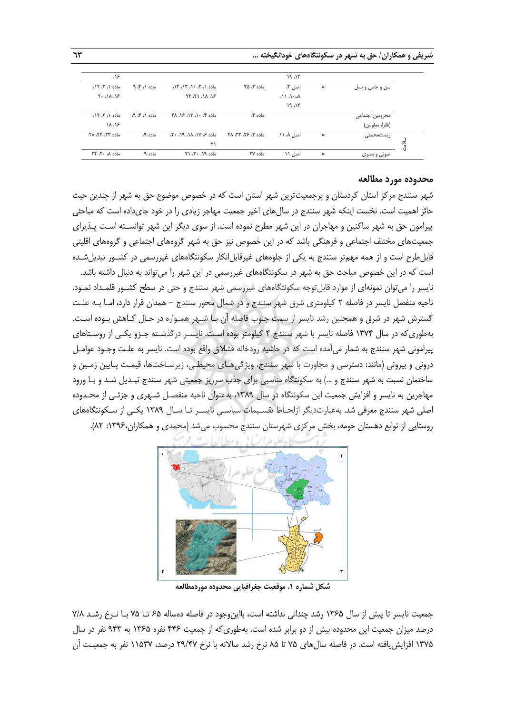**شریفی و همکاران/ حق به شهر در سکونتگاههای خودانگیخته ... 63**

|                 |               | ۱۹،۱۳                         |                    |                                  |               | ۱۶،                                                      |
|-----------------|---------------|-------------------------------|--------------------|----------------------------------|---------------|----------------------------------------------------------|
| سن و جنس و نسل  | $\mathcal{R}$ | اصل ۳،                        | ماده ۲، ۴۵         | $\Delta$ ۹۴ ماده $\Delta$ ، ۲۰ م | ماده ۱، ۴، ۹  | ماده ۱، ۲، ۱۲،                                           |
|                 |               | $\Lambda$ $\Lambda$ $\Lambda$ |                    | 36.16.17.77                      |               | $\mathcal{L} \cdot \Delta \mathcal{L} \cdot \mathcal{L}$ |
|                 |               | 19.15                         |                    |                                  |               |                                                          |
| محرومين اجتماعي |               |                               | ماده ۴،            | ماده ۴، ۱۰، ۱۳، ۱۶، ۲۸           | ماده ۸، ۴، ۹، | ماده ۱، ۲، ۱۲،                                           |
| (فقرا، معلولين) |               |                               |                    |                                  |               | ۱۸، ۱۶                                                   |
| زیستمحیطی       | $\frac{1}{2}$ | اصل ۸، ۱۱                     | ماده ۲، ۲۶، ۳۲، ۳۸ | $35.39.34.39.39$ ماده مح         | ماده ۹،       | ماده ٢٣، ٢۴، ٢٨                                          |
|                 |               |                               |                    | ۲۱                               |               |                                                          |
| صوتی و بصری     | 参             | اصل ۱۱                        | ماده ۳۷            | ماده ۱۹، ۲۰، ۲۱                  | ماده ۹        | ماده ۸، ۲۴، ۲۴                                           |

#### **محدوده مورد مطالعه**

شهر سنندج مرکز استان کردستان و پرجمعیتترین شهر استان است که در خصوص موضوع حق به شهر از چندین حی حائز اهمیت است. نخست اینکه شهر سنندج در سالهای اخیر جمعیت مهاجر زیادی را در خود جایداده است که مباحثی پیرامون حق به شهر ساکنین و مهاجران در این شهر مطرح نموده است. از سوی دیگر این شهر توانسـته اسـت پـذیرای جمعیتهای مختلف اجتماعی و فرهنگی باشد که در این خصوص نیز حق به شهر گروههای اجتماعی و گروههای اقلیتی قابل طرح است و از همه مهمتر سنندج به یکی از جلوههای غیرقابل|نکار سکونتگاههای غیررسمی در کشـور تبدیل شـده است که در این خصوص مباحث حق به شهر در سکونتگاههای غیررسمی در این شهر را میتواند به دنبال داشته باشد. نایسر را میتوان نمونهای از موارد قابلتوجه سکونتگاههای غیررسمی شهر سنندج و حتی در سطح کشـور قلمـداد نمـود. ناحیه منفصل نایسر در فاصله 2 کیلومتری شرق شهر سنندج و در شمال محور سنندج - همدان قرار دارد، امـا بـه علـت گسترش شهر در شرق و همچنین رشد نایسر از سمت جنوب فاصله آن بـا شـهر همـواره در حـال کـاهش بـوده اسـت. بهطوریکه در سال 1374 فاصله نایسر با شهر سنندج 4 کیلومتر بوده اسـت. نایسـر درگذشـته جـزو یکـی از روسـتاهای پیرامونی شهر سنندج به شمار میآمده است که در حاشیه رودخانه قشالق واقع بوده است. نایسر به علـت وجـود عوامـل درونی و بیرونی (مانند: دسترسی و مجاورت با شهر سنندج، ویژگیهـای محیطـی، زیرسـاختها، قیمـت پـایین زمـین و ساختمان نسبت به شهر سنندج و ...( به سکونتگاه مناسبی برای جذب سرریز جمعیتی شهر سنندج تبـدیل شـد و بـا ورود مهاجرین به نایسر و افزایش جمعیت این سکونتگاه در سال ،1389 بهعنوان ناحیه منفصـل شـهری و جزئـی از محـدوده اصلی شهر سنندج معرفی شد. بهعبارتدیگر ازلحـاظ تقسـیمات سیاسـی نایسـر تـا سـال 1389 یکـی از سـکونتگاههای روستایی از توابع دهستان حومه، بخش مرکزی شهرستان سنندج محسوب میشد )محمدی و همکاران:1396، 82(.



**شکل شماره .1 موقعیت جغرافیایی محدوده موردمطالعه**

جمعیت نایسر تا پیش از سال 1365 رشد چندانی نداشته است، بااینوجود در فاصله دهساله 65 تـا 75 بـا نـرخ رشـد 7/8 درصد میزان جمعیت این محدوده بیش از دو برابر شده است. بهطوریکه از جمعیت 446 نفره 1365 به 943 نفر در سال 1375 افزایشیافته است. در فاصله سالهای 75 تا 85 نرخ رشد ساالنه با نرخ 29/47 درصد، 11537 نفر به جمعیـت آن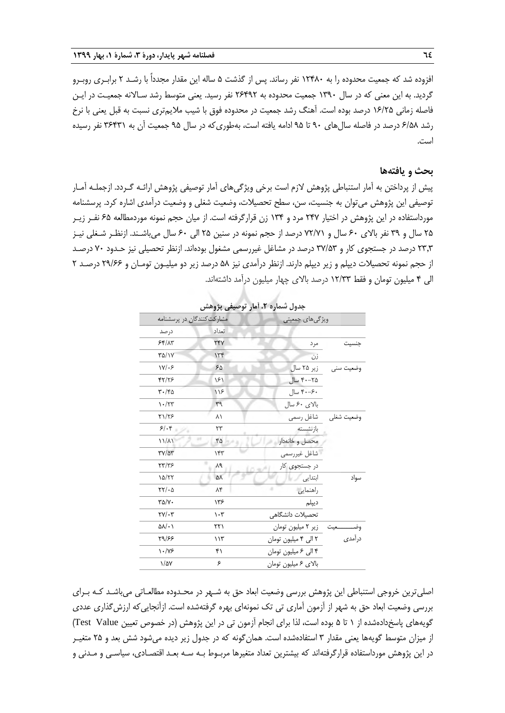افزوده شد که جمعیت محدوده را به 12480 نفر رساند. پس از گذشت 5 ساله این مقدار مجدداً با رشـد 2 برابـری روبـرو گردید. به این معنی که در سال ۱۳۹۰ جمعیت محدوده به ۲۶۴۹۲ نفر رسید. یعنی متوسط رشد سـالانه جمعیـت در ایـن فاصله زمانی 16/25 درصد بوده است. آهنگ رشد جمعیت در محدوده فوق با شیب مالیمتری نسبت به قبل یعنی با نرخ رشد 6/58 درصد در فاصله سالهای 90 تا 95 ادامه یافته است، بهطوریکه در سال 95 جمعیت آن به 36431 نفر رسیده است.

#### **بحث و یافتهها**

پیش از پرداختن به آمار استنباطی پژوهش الزم است برخی ویژگیهای آمار توصیفی پژوهش ارائـه گـردد. ازجملـه آمـار توصیفی این پژوهش میتوان به جنسیت، سن، سطح تحصیالت، وضعیت شغلی و وضعیت درآمدی اشاره کرد. پرسشنامه مورداستفاده در این پژوهش در اختیار 247 مرد و 134 زن قرارگرفته است. از میان حجم نمونه موردمطالعه 65 نفـر زیـر ۲۵ سال و ۳۹ نفر بالای ۶۰ سال و ۷۲/۷۱ درصد از حجم نمونه در سنین ۲۵ الی ۶۰ سال میباشـند. ازنظـر شـغلی نیـز 23,3 درصد در جستجوی کار و 37/53 درصد در مشاغل غیررسمی مشغول بودهاند. ازنظر تحصیلی نیز حـدود 70 درصـد از حجم نمونه تحصیالت دیپلم و زیر دیپلم دارند. ازنظر درآمدی نیز 58 درصد زیر دو میلیـون تومـان و 29/66 درصـد 2 الی 4 میلیون تومان و فق 12/33 درصد باالی چهار میلیون درآمد داشتهاند.

|                                             |                                 | جدون سماره ۰،۱۰۰ نومبیعی پروسس    |                       |
|---------------------------------------------|---------------------------------|-----------------------------------|-----------------------|
| مشارکت کنندگان در پرسشنامه                  |                                 | ویژگیهای جمعیتی                   |                       |
| درصد                                        | تعداد                           |                                   |                       |
| 55/17                                       | <b>TFV</b>                      | مرد                               | جنسيت                 |
| <b>٣۵/١٧</b>                                | 156                             | زن                                |                       |
| $Y/\sqrt{5}$                                | ۶۵                              | زیر ۲۵ سال                        | وضعيت سنى             |
| 47/78                                       | ۱۶۱                             | ۲۵–۴۰ سال                         |                       |
| $\mathbf{r} \cdot \mathbf{r}$               | 119                             | ۴۰–۴۰ سال                         |                       |
| $\mathcal{N} \cdot / \mathcal{N}$           | $r^q$                           | بالای ۶۰ سال                      |                       |
| ۲۱/۲۶                                       | ۸۱                              |                                   | وضعيت شغلي مشاغل رسمي |
| 5.5                                         | ٢٣                              | بازنشسته                          |                       |
| $11/\lambda$                                | ۴۵                              | محصل وخانهدار                     |                       |
| $\mathsf{r}\mathsf{v}/\mathsf{a}\mathsf{r}$ | 157                             | شاغل غيررسمي                      |                       |
| <b>TT/TS</b>                                | ٨٩                              | در جستجوی کار                     |                       |
| 10/77                                       | ۵٨                              | ابتدایی                           | سواد                  |
| $YY/-\Delta$                                | ۸۴                              | راهنمايي                          |                       |
| $\Gamma \Delta / Y$                         | ۱۳۶                             | ديپلم                             |                       |
| $\tau v / \cdot r$                          | $\mathcal{N} \cdot \mathcal{N}$ | تحصيلات دانشگاهى                  |                       |
| $\Delta\lambda/\cdot$                       | ۲۲۱                             | وضـــــــــعيت زير ٢ ميليون تومان |                       |
| 59/88                                       | 115                             | ٢ الى ۴ ميليون تومان              | درآمدى                |
| $\frac{1}{\sqrt{2}}$                        | ۴۱                              | ۴ الی ۶ میلیون تومان              |                       |
| $1/\Delta V$                                | ۶                               | بالاي ۶ ميليون تومان              |                       |

**جدول شماره .2 آمار توصیفی پژوهش**

اصلیترین خروجی استنباطی این پژوهش بررسی وضعیت ابعاد حق به شـهر در محـدوده مطالعـاتی میباشـد کـه بـرای بررسی وضعیت ابعاد حق به شهر از آزمون آماری تی تک نمونهای بهره گرفتهشده است. ازآنجاییکه ارزشگذاری عددی گویههای پاسخدادهشده از ۱ تا ۵ بوده است، لذا برای انجام آزمون تی در این پژوهش (در خصوص تعیین Test Value) از میزان متوسط گویهها یعنی مقدار ۳ استفادهشده است. همان گونه که در جدول زیر دیده میشود شش بعد و ۲۵ متغیـر در این پژوهش مورداستفاده قرارگرفتهاند که بیشترین تعداد متغیرها مربـوط بـه سـه بعـد اقتصـادی، سیاسـی و مـدنی و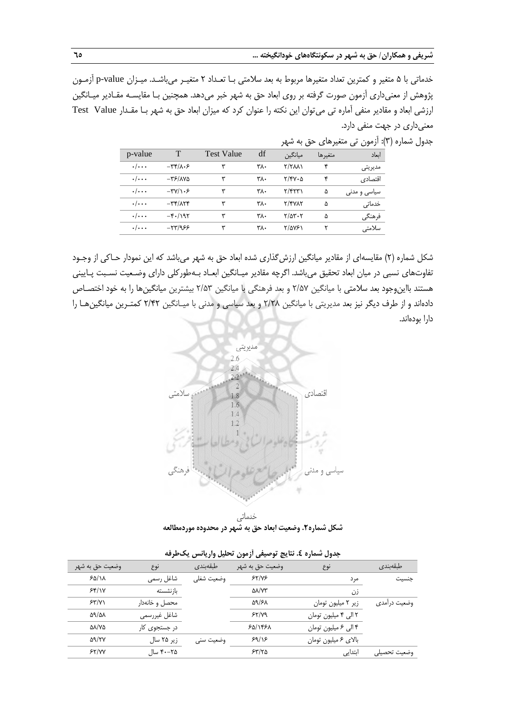خدماتی با 5 متغیر و کمترین تعداد متغیرها مربوط به بعد سالمتی بـا تعـداد 2 متغیـر میباشـد. میـزان value-p آزمـون پژوهش از معنیداری آزمون صورت گرفته بر روی ابعاد حق به شهر خبر میدهد. هم نین بـا مقایسـه مقـادیر میـانگین ارزشی ابعاد و مقادیر منفی آماره تی میتوان این نکته را عنوان کرد که میزان ابعاد حق به شهر بـا مقـدار Value Test معنیداری در جهت منفی دارد.

|                    |                                                      |                   |     |                      |         | جدول شماره (۳): آزمون تی متغیرهای حق به شهر |  |
|--------------------|------------------------------------------------------|-------------------|-----|----------------------|---------|---------------------------------------------|--|
| p-value            | T                                                    | <b>Test Value</b> | df  | ميانگين              | متغيرها | اىعاد                                       |  |
| $\cdot/\cdot\cdot$ | $-\mathbf{r} \mathbf{r}/\mathbf{r} \cdot \mathbf{r}$ | ٣                 | ٣٨٠ | $Y/Y\lambda\lambda$  | ۴       | مديريتي                                     |  |
| $\cdot/\cdot\cdot$ | $-\mathsf{r}\mathsf{s}/\mathsf{AV}\mathsf{a}$        | ۳                 | ۳۸۰ | $Y/Y\cdot\Delta$     | ۴       | اقتصادي                                     |  |
| $\cdot/\cdot\cdot$ | $-\mathbf{r} \mathbf{V}/\mathbf{V} \cdot \mathbf{F}$ | ۳                 | ۳۸. | $\frac{1}{\sqrt{2}}$ | ۵       | سیاسی و مدنی                                |  |
| $\cdot/\cdot\cdot$ | $-\mathbf{r} \mathbf{r}/\mathbf{r} \mathbf{r}$       | ۳                 | ٣٨٠ | ۲/۴۷۸۲               | ۵       | خدماتی                                      |  |
| $\cdot/\cdot\cdot$ | $-\mathfrak{r}$ ./195                                | ۳                 | ۳۸۰ | $Y/\Delta Y \cdot Y$ | ۵       | فرهنگي                                      |  |
| $\cdot/\cdot\cdot$ | $-577/955$                                           | ۳                 | ٣٨٠ | ۲/۵۷۶۱               |         | سلامتى                                      |  |

شکل شماره )2( مقایسهای از مقادیر میانگین ارزشگذاری شده ابعاد حق به شهر میباشد که این نمودار حـاکی از وجـود تفاوتهای نسبی در میان ابعاد تحقیق میباشد. اگرچه مقادیر میـانگین ابعـاد بـهطورکلی دارای وضـعیت نسـبت پـایینی هستند بااینوجود بعد سالمتی با میانگین 2/57 و بعد فرهنگی با میانگین 2/53 بیشترین میانگینها را به خود اختصـاص دادهاند و از طرف دیگر نیز بعد مدیریتی با میانگین 2/28 و بعد سیاسی و مدنی با میـانگین 2/42 کمتـرین میانگینهـا را دارا بودهاند.



خدماتى **شکل شماره.2 وضعیت ابعاد حق به شهر در محدوده موردمطالعه**

|              | - - -                |                            |            |                |                     |
|--------------|----------------------|----------------------------|------------|----------------|---------------------|
| طبقەبندى     | نوع                  | وضعيت حق به شهر            | طبقەبندى   | نوع            | وضعيت حق به شهر     |
| جنسيت        | مر د                 | 55/105                     | وضعيت شغلى | شاغل رسمي      | 50/11               |
|              | زن                   | $\Delta\lambda/\gamma\tau$ |            | بازنشسته       | 55/1V               |
| وضعیت درامدی | زیر ۲ میلیون تومان   | 59/۶۸                      |            | محصل و خانهدار | 55/1                |
|              | ۲ الی ۴ میلیون تومان | 55/109                     |            | شاغل غيررسمي   | $\Delta 9/\Delta A$ |
|              | ۴ الی ۶ میلیون تومان | ۶۵/۱۴۶۸                    |            | در جستجوی کار  | <b>AA/YA</b>        |
|              | بالاي ۶ ميليون تومان | 59/15                      | وضعیت سنی  | زیر ۲۵ سال     | 99/۲۷               |
| وضعيت تحصيلى | ابتدایی              | 54/10                      |            | ۲۵–۴۰ سال      | 55/VV               |
|              |                      |                            |            |                |                     |

**جدول شماره .4 نتایج توصیفی آزمون تحلیل واریانس یکطرفه**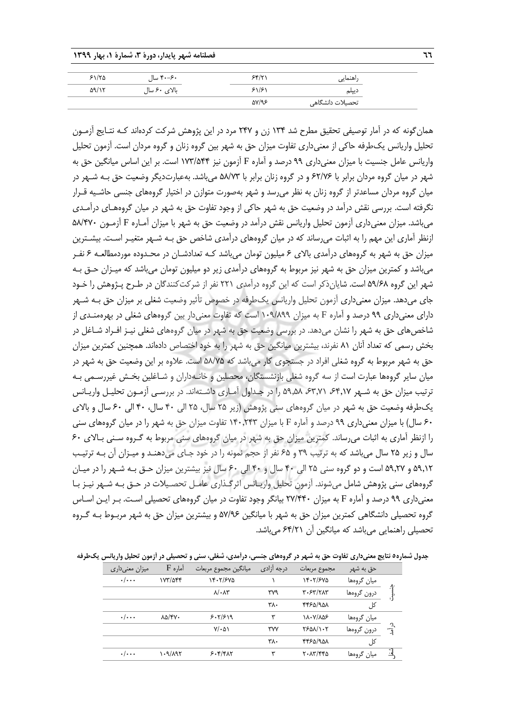| ┓┓ |                  |                   | فصلنامه شهر پایدار، دورهٔ ۳، شمارهٔ ۱، بهار ۱۳۹۹ |               |
|----|------------------|-------------------|--------------------------------------------------|---------------|
|    | راهنمايي         | 58/71             | ۴۰–۴۰ سال                                        | 51/80         |
|    | دييلم            | 51/51             | بالای ۶۰ سال                                     | $\Delta$ 9/17 |
|    | تحصیلات دانشگاهی | $\Delta V/\gamma$ |                                                  |               |

همانگونه که در آمار توصیفی تحقیق مطرح شد 134 زن و 247 مرد در این پژوهش شرکت کردهاند کـه نتـایج آزمـون تحلیل واریانس یکطرفه حاکی از معنیداری تفاوت میزان حق به شهر بین گروه زنان و گروه مردان است. آزمون تحلیل واریانس عامل جنسیت با میزان معنیداری 99 درصد و آماره F آزمون نیز 173/544 است. بر این اساس میانگین حق به شهر در میان گروه مردان برابر با 62/76 و در گروه زنان برابر با 58/73 میباشد. بهعبارتدیگر وضعیت حق بـه شـهر در میان گروه مردان مساعدتر از گروه زنان به نظر میرسد و شهر بهصورت متوازن در اختیار گروههای جنسی حاشـیه قـرار نگرفته است. بررسی نقش درآمد در وضعیت حق به شهر حاکی از وجود تفاوت حق به شهر در میان گروههـای درآمـدی میباشد. میزان معنیداری آزمون تحلیل واریانس نقش درآمد در وضعیت حق به شهر با میزان آمـاره F آزمـون 58/470 ازنظر آماری این مهم را به اثبات میرساند که در میان گروههای درآمدی شاخص حق بـه شـهر متغیـر اسـت. بیشـترین میزان حق به شهر به گروههای درآمدی باالی 6 میلیون تومان میباشد کـه تعدادشـان در محـدوده موردمطالعـه 6 نفـر میباشد و کمترین میزان حق به شهر نیز مربوط به گروههای درآمدی زیر دو میلیون تومان میباشد که میـزان حـق بـه شهر این گروه 59/68 است. شایانذکر است که این گروه درآمدی 221 نفر از شرکتکنندگان در طـرح پـژوهش را خـود جای میدهد. میزان معنیداری آزمون تحلیل واریانس یکطرفه در خصوص تأثیر وضعیت شغلی بر میزان حق بـه شـهر دارای معنیداری 99 درصد و آماره F به میزان 109/899 است که تفاوت معنیدار بین گروههای شغلی در بهرهمنـدی از شاخصهای حق به شهر را نشان میدهد. در بررسی وضعیت حق به شهر در میان گروههای شغلی نیـز افـراد شـاغل در بخش رسمی که تعداد آنان 81 نفرند، بیشترین میانگین حق به شهر را به خود اختصاص دادهاند. هم نین کمترین میزان حق به شهر مربوط به گروه شغلی افراد در جستجوی کار میباشد که 58/75 است. عالوه بر این وضعیت حق به شهر در میان سایر گروهها عبارت است از سه گروه شغلی بازنشستگان، محصلین و خانـهداران و شـاغلین بخـش غیررسـمی بـه ترتیب میزان حق به شـهر ۶۴٫۱۷ ۶۳٫۷۱ ۵۹٫۵۸ را در جـداول آمـاری داشـتهاند. در بررسـی آزمـون تحلیـل واریـانس یکطرفه وضعیت حق به شهر در میان گروههای سنی پژوهش )زیر 25 سال، 25 الی 40 سال، 40 الی 60 سال و باالی 60 سال( با میزان معنیداری 99 درصد و آماره F با میزان 140,243 تفاوت میزان حق به شهر را در میان گروههای سنی را ازنظر آماری به اثبات میرساند. کمترین میزان حق به شهر در میان گروههای سنی مربوط به گـروه سـنی بـاالی 60 سال و زیر 25 سال میباشد که به ترتیب 39 و 65 نفر از حجم نمونه را در خود جـای میدهنـد و میـزان آن بـه ترتیـب 59,12 و 59,27 است و دو گروه سنی 25 الی 40 سال و 40 الی 60 سال نیز بیشترین میزان حـق بـه شـهر را در میـان گروههای سنی پژوهش شامل میشوند. آزمون تحلیل واریـانس اثرگـذاری عامـل تحصـیالت در حـق بـه شـهر نیـز بـا معنیداری 99 درصد و آماره F به میزان 27/440 بیانگر وجود تفاوت در میان گروههای تحصیلی اسـت. بـر ایـن اسـاس گروه تحصیلی دانشگاهی کمترین میزان حق به شهر با میانگین 57/96 و بیشترین میزان حق به شهر مربـوط بـه گـروه تحصیلی راهنمایی میباشد که میانگین آن 64/21 میباشد.

**جدول شماره5 نتایج معنیداری تفاوت حق به شهر در گروههای جنسی، درآمدی، شغلی، سنی و تحصیلی در آزمون تحلیل واریانس یکطرفه**

| میزان معنیداری | $F$ آماره                                  | ميانگين مجموع مربعات       | درجه آزادى | مجموع مربعات    | حق به شهر   |       |
|----------------|--------------------------------------------|----------------------------|------------|-----------------|-------------|-------|
| $\cdot/\cdots$ | ۱۷۳/۵۴۴                                    | 14.7/۶۷۵                   |            | 14.7/870        | ميان گروەھا |       |
|                |                                            | $\lambda/\cdot\lambda\tau$ | ۳۷۹        | ٣٠۶٣/٢٨٣        | درون گروهها |       |
|                |                                            |                            | ۳۸۰        | 4450/901        | کل          |       |
| $\cdot/\cdots$ | $\lambda \Delta / \mathfrak{F} \mathsf{V}$ | 5.7/519                    | ٣          | ۱۸۰۷/۸۵۶        | ميان گروەھا |       |
|                |                                            | $V/\cdot \Delta$           | <b>TVV</b> | <b>TSDA/1.7</b> | درون گروهها | درآمد |
|                |                                            |                            | ۳۸.        | 4450/901        | کل          |       |
| $\cdot/\cdots$ | ۱۰۹/۸۹۲                                    | 5.8                        | ٣          | ٢٠٨٣/٤٤٥        | میان گروهها |       |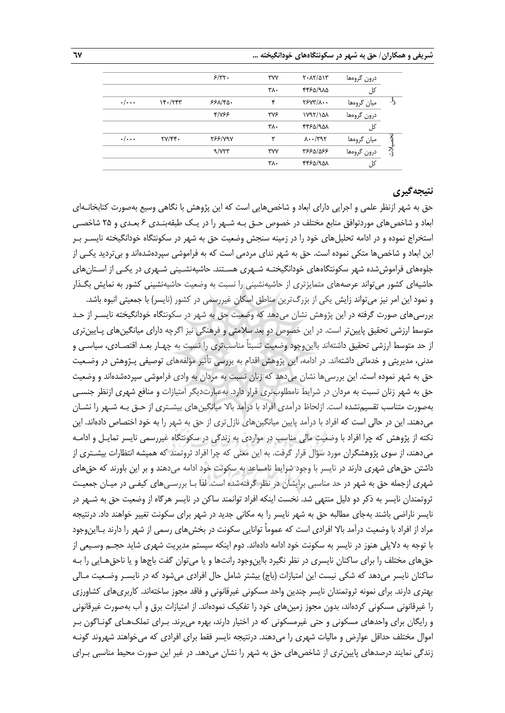## **شریفی و همکاران/ حق به شهر در سکونتگاههای خودانگیخته ... 67**

|         | درون گروهها | $Y \cdot \lambda Y/\Delta Y$ | <b>٣٧٧</b> | 5/77.          |                                  |                    |
|---------|-------------|------------------------------|------------|----------------|----------------------------------|--------------------|
|         | کل          | 4450/910                     | ۳λ٠        |                |                                  |                    |
| $\cdot$ | ميان گروهها | $YYY'/\lambda \cdot \cdot$   | ۴          | 551            | $Yf - YfY$                       | $\cdot/\cdots$     |
|         | درون گروهها | N97/101                      | <b>TVS</b> | 4/755          |                                  |                    |
|         | کل          | 4450/901                     | ٣٨٠        |                |                                  |                    |
|         | ميان گروەھا | $\lambda \cdot \cdot$ /٣٩٢   | ۳          | <b>TSS/V9V</b> | $\Upsilon V/\Upsilon \Upsilon$ . | $\cdot/\cdot\cdot$ |
| پر<br>د | درون گروهها | 336/0887                     | <b>TVV</b> | 9/777          |                                  |                    |
|         | کل          | 4450/901                     | ۳۸۰        |                |                                  |                    |
|         |             |                              |            |                |                                  |                    |

## **نتیجهگیری**

حق به شهر ازنظر علمی و اجرایی دارای ابعاد و شاخصهایی است که این پژوهش با نگاهی وسیع بهصورت کتابخانـهای ابعاد و شاخصهای موردتوافق منابع مختلف در خصوص حـق بـه شـهر را در یـک طبقهبنـدی 6 بعـدی و 25 شاخصـی استخراج نموده و در ادامه تحلیلهای خود را در زمینه سنجش وضعیت حق به شهر در سکونتگاه خودانگیخته نایسـر بـر این ابعاد و شاخصها متکی نموده است. حق به شهر ندای مردمی است که به فراموشی سپردهشدهاند و بیتردید یکـی از جلوههای فراموششده شهر سکونتگاههای خودانگیختـه شـهری هسـتند. حاشیهنشـینی شـهری در یکـی از اسـتانهای حاشیهای کشور میتواند عرصههای متمایزتری از حاشیهنشینی را نسبت به وضعیت حاشیهنشینی کشور به نمایش بگـذار

و نمود این امر نیز میتواند زایش یکی از بزرگترین مناطق اسکان غیررسمی در کشور )نایسر( با جمعیتی انبوه باشد. بررسیهای صورت گرفته در این پژوهش نشان میدهد که وضعیت حق به شهر در سکونتگاه خودانگیخته نایسـر از حـد متوسط ارزشی تحقیق پایینتر است. در این خصوص دو بعد سلامتی و فرهنگی نیز اگرچه دارای میانگینهای پـایینتری از حد متوسط ارزشی تحقیق داشتهاند بااین٫جود وضعیت نسبتاً مناسبتری را نسبت به چهـار بعـد اقتصـادی، سیاسـی و مدنی، مدیریتی و خدماتی داشتهاند. در ادامه، این پژوهش اقدام به بررسی تأثیر مؤلفههای توصیفی پـژوهش در وضـعیت حق به شهر نموده است. این بررسیها نشان میدهد که زنان نسبت به مردان به وادی فراموشی سپردهشدهاند و وضعیت حق به شهر زنان نسبت به مردان در شرایط نامطلوبتری قرار دارد. بهعبارتدیگر امتیازات و منافع شهری ازنظر جنسـی بهصورت متناسب تقسیمنشده است. ازلحاظ درآمدی افراد با درآمد باال میانگینهای بیشـتری از حـق بـه شـهر را نشـان میدهند. این در حالی است که افراد با درآمد پایین میانگینهای نازلتری از حق به شهر را به خود اختصاص دادهاند. این نکته از پژوهش که چرا افراد با وضعیت مالی مناسب در مواردی به زندگی در سکونتگاه غیررسمی نایسر تمایـل و ادامـه میدهند، از سوی پژوهشگران مورد سؤال قرار گرفت. به این معنی که چرا افراد ثروتمند که همیشه انتظارات بیشـتری از داشتن حقهای شهری دارند در نایسر با وجود شرایط نامساعد به سکونت خود ادامه میدهند و بر این باورند که حقهای شهری ازجمله حق به شهر در حد مناسبی برایشان در نظر گرفتهشده است. لذا بـا بررسـیهای کیفـی در میـان جمعیـت ثروتمندان نایسر به ذکر دو دلیل منتهی شد. نخست اینکه افراد توانمند ساکن در نایسر هرگاه از وضعیت حق به شـهر در نایسر ناراضی باشند بهجای مطالبه حق به شهر نایسر را به مکانی جدید در شهر برای سکونت تغییر خواهند داد. درنتیجه مراد از افراد با وضعیت درآمد باال افرادی است که عموماً توانایی سکونت در بخشهای رسمی از شهر را دارند بـااینوجود با توجه به دالیلی هنوز در نایسر به سکونت خود ادامه دادهاند. دوم اینکه سیستم مدیریت شهری شاید حجـم وسـیعی از حقهای مختلف را برای ساکنان نایسری در نظر نگیرد بااینوجود رانتها و یا میتوان گفت باجها و یا ناحقهـایی را بـه ساکنان نایسر میدهد که شکی نیست این امتیازات (باج) بیشتر شامل حال افرادی میشود که در نایسـر وضـعیت مـالی بهتری دارند. برای نمونه ثروتمندان نایسر چندین واحد مسکونی غیرقانونی و فاقد مجوز ساختهاند. کاربریهای کشاورزی را غیرقانونی مسکونی کردهاند، بدون مجوز زمینهای خود را تفکیک نمودهاند. از امتیازات برق و آب بهصورت غیرقانونی و رایگان برای واحدهای مسکونی و حتی غیرمسکونی که در اختیار دارند، بهره میبرند. بـرای تملکهـای گونـاگون بـر اموال مختلف حداقل عوارض و مالیات شهری را میدهند. درنتیجه نایسر فقط برای افرادی که میخواهند شهروند گونـه زندگی نمایند درصدهای پایینتری از شاخصهای حق به شهر را نشان میدهد. در غیر این صورت محیط مناسبی بـرای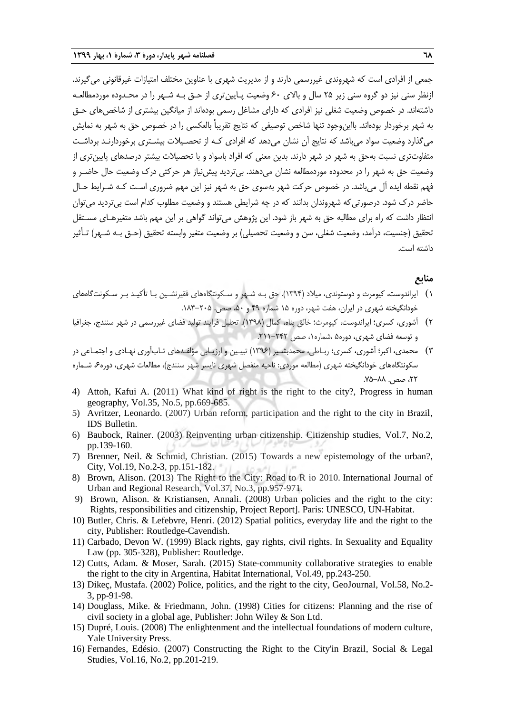جمعی از افرادی است که شهروندی غیررسمی دارند و از مدیریت شهری با عناوین مختلف امتیازات غیرقانونی میگیرند. ازنظر سنی نیز دو گروه سنی زیر ۲۵ سال و بالای ۶۰ وضعیت پـایینتری از حـق بـه شـهر را در محـدوده موردمطالعـه داشتهاند. در خصوص وضعیت شغلی نیز افرادی که دارای مشاغل رسمی بودهاند از میانگین بیشتری از شاخصهای حـق به شهر برخوردار بودهاند. بااینوجود تنها شاخص توصیفی که نتایج تقریباً بالعکسی را در خصوص حق به شهر به نمایش می گذارد وضعیت سواد می باشد که نتایج آن نشان می دهد که افرادی کـه از تحصـیلات بیشـتری برخوردارنـد برداشـت متفاوتتری نسبت بهحق به شهر در شهر دارند. بدین معنی که افراد باسواد و با تحصیالت بیشتر درصدهای پایینتری از وضعیت حق به شهر را در محدوده موردمطالعه نشان میدهند. بیتردید پیشنیاز هر حرکتی درك وضعیت حال حاضـر و فهم نقطه ایده آل میباشد. در خصوص حرکت شهر بهسوی حق به شهر نیز این مهم ضروری اسـت کـه شـرایط حـال حاضر درك شود. درصورتیکه شهروندان بدانند که در چه شرایطی هستند و وضعیت مطلوب کدام است بیتردید میتوان انتظار داشت که راه برای مطالبه حق به شهر باز شود. این پژوهش میتواند گواهی بر این مهم باشد متغیرهـای مسـتقل تحقیق (جنسیت، درآمد، وضعیت شغلی، سن و وضعیت تحصیلی) بر وضعیت متغیر وابسته تحقیق (حـق بـه شـهر) تـأثیر داشته است.

## **منابع**

- 1) ایراندوست، کیومرث و دوستوندی، میالد )1394(. حق بـه شـهر و سـکونتگاههای فقیرنشـین بـا تأکیـد بـر سـکونتگاههای خودانگیخته شهری در ایران، هفت شهر، دوره 15 شماره 49 و ،50 صص. .184-205
- 2) آشوری، کسری؛ ایراندوست، کیومرث؛ خالق پناه، کمال )1398(. تحلیل فرایند تولید فضای غیررسمی در شهر سنندج، جغرافیا و توسعه فضای شهری، دوره5 ،شماره،1 صص .211-242
- 3) محمدی، اکبر؛ آشوری، کسری؛ ربـاطی، محمدبشـیر )1396( تبیـین و ارزیـابی مؤلفـههای تـابآوری نهـادی و اجتمـاعی در سکونتگاههای خودانگیخته شهری (مطالعه موردی: ناحیه منفصل شهری نایسر شهر سنندج)، مطالعات شهری، دوره۶ شـماره ۲۲، صص. ۸۸–۷۵.
- 4) Attoh, Kafui A. (2011) What kind of right is the right to the city?, Progress in human geography, Vol.35, No.5, pp.669-685.
- 5) Avritzer, Leonardo. (2007) Urban reform, participation and the right to the city in Brazil, IDS Bulletin.
- 6) Baubock, Rainer. (2003) Reinventing urban citizenship. Citizenship studies, Vol.7, No.2, pp.139-160.
- 7) Brenner, Neil. & Schmid, Christian. (2015) Towards a new epistemology of the urban?, City, Vol.19, No.2-3, pp.151-182.
- 8) Brown, Alison. (2013) The Right to the City: Road to R io 2010. International Journal of Urban and Regional Research, Vol.37, No.3, pp.957-971.
- 9) Brown, Alison. & Kristiansen, Annali. (2008) Urban policies and the right to the city: Rights, responsibilities and citizenship, Project Report]. Paris: UNESCO, UN-Habitat.
- 10) Butler, Chris. & Lefebvre, Henri. (2012) Spatial politics, everyday life and the right to the city, Publisher: Routledge-Cavendish.
- 11) Carbado, Devon W. (1999) Black rights, gay rights, civil rights. In Sexuality and Equality Law (pp. 305-328), Publisher: Routledge.
- 12) Cutts, Adam. & Moser, Sarah. (2015) State-community collaborative strategies to enable the right to the city in Argentina, Habitat International, Vol.49, pp.243-250.
- 13) Dikeç, Mustafa. (2002) Police, politics, and the right to the city, GeoJournal, Vol.58, No.2- 3, pp-91-98.
- 14) Douglass, Mike. & Friedmann, John. (1998) Cities for citizens: Planning and the rise of civil society in a global age, Publisher: John Wiley & Son Ltd.
- 15) Dupré, Louis. (2008) The enlightenment and the intellectual foundations of modern culture, Yale University Press.
- 16) Fernandes, Edésio. (2007) Constructing the Right to the City'in Brazil, Social & Legal Studies, Vol.16, No.2, pp.201-219.